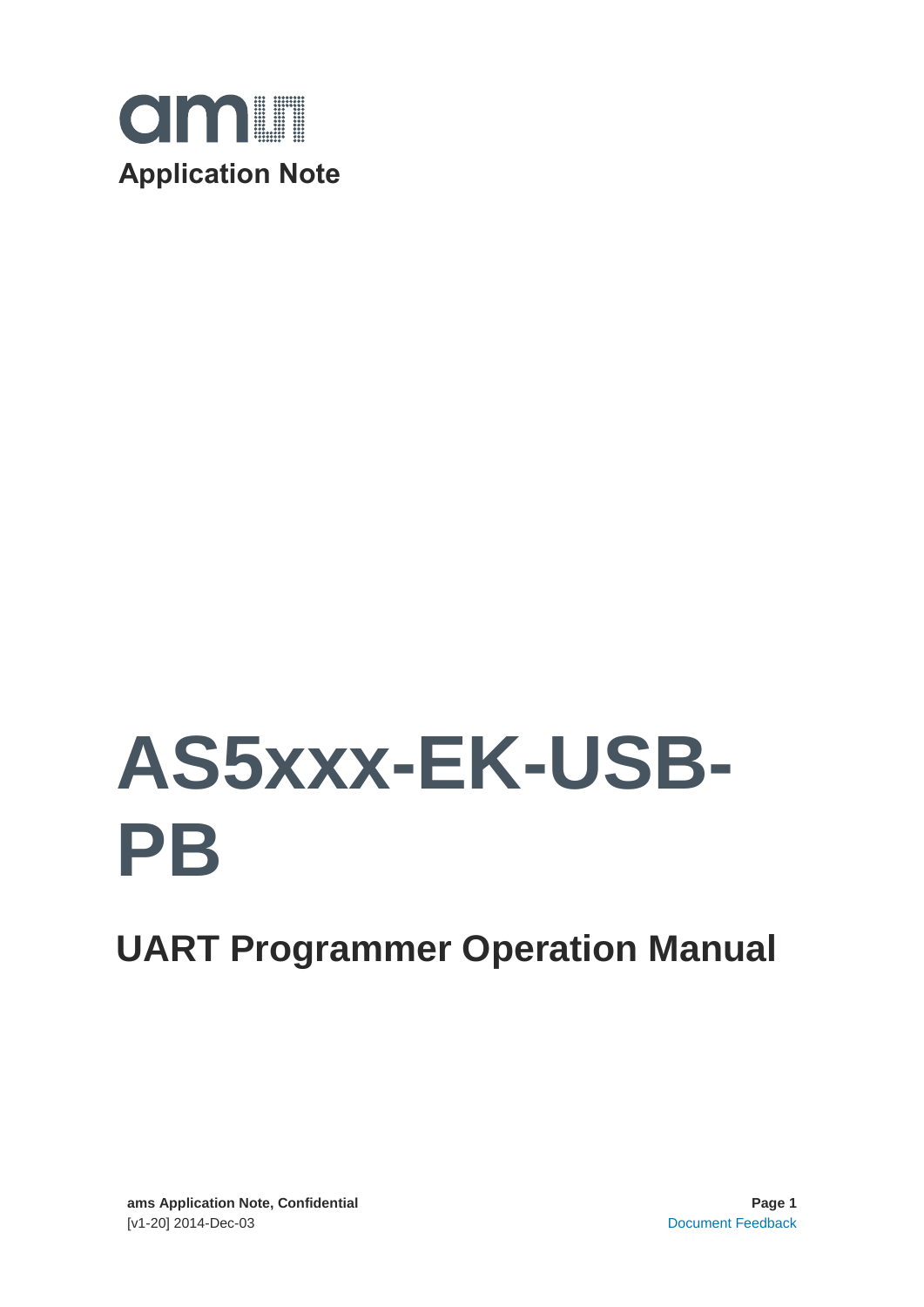

# **AS5xxx-EK-USB-PB**

# **UART Programmer Operation Manual**

**ams Application Note, Confidential Page 1** [v1-20] 2014-Dec-03 [Document Feedback](http://www.ams.com/Document-Feedback)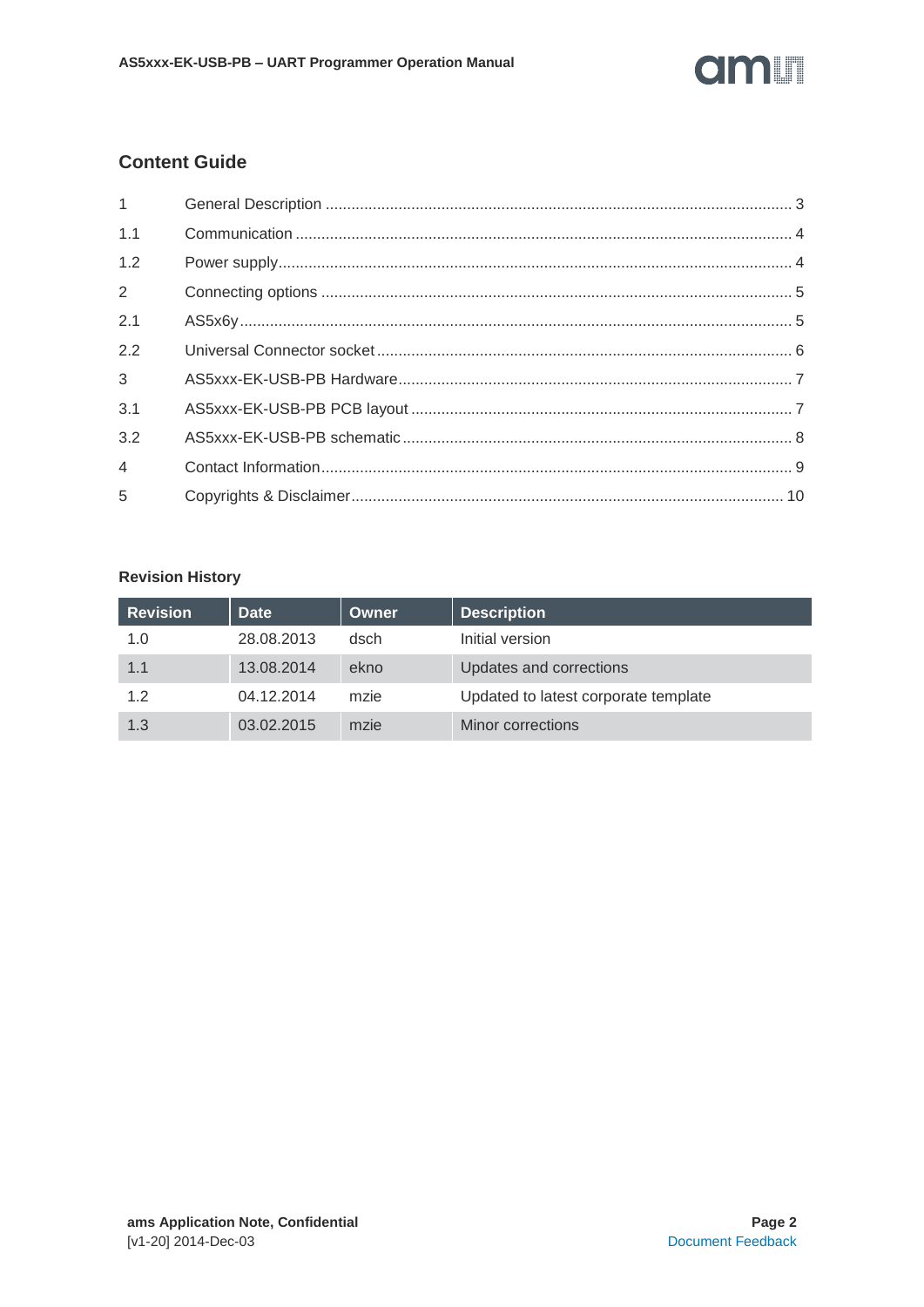# am

# **Content Guide**

| $1 \quad \blacksquare$ |  |
|------------------------|--|
| 1.1                    |  |
| 1.2                    |  |
| $\overline{2}$         |  |
| 2.1                    |  |
| 2.2                    |  |
| $3^{\circ}$            |  |
| 3.1                    |  |
| 3.2                    |  |
| $4 \quad$              |  |
| 5                      |  |

# **Revision History**

| <b>Revision</b> | <b>Date</b> | Owner | <b>Description</b>                   |
|-----------------|-------------|-------|--------------------------------------|
| 1.0             | 28.08.2013  | dsch  | Initial version                      |
| 1.1             | 13.08.2014  | ekno  | Updates and corrections              |
| 1.2             | 04.12.2014  | mzie  | Updated to latest corporate template |
| 1.3             | 03.02.2015  | mzie  | Minor corrections                    |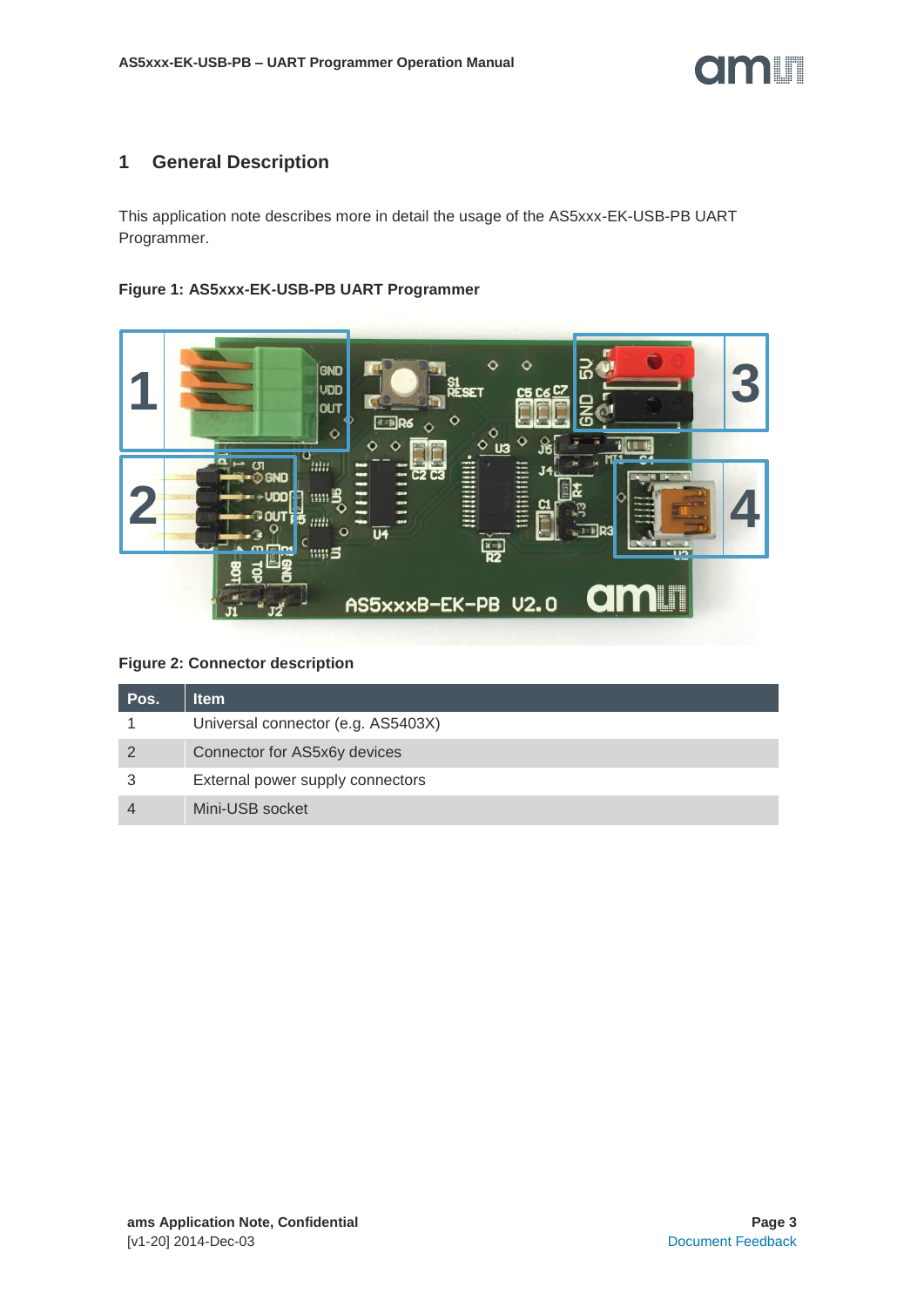

#### <span id="page-2-0"></span>**1 General Description**

This application note describes more in detail the usage of the AS5xxx-EK-USB-PB UART Programmer.

#### **Figure 1: AS5xxx-EK-USB-PB UART Programmer**



#### **Figure 2: Connector description**

| Pos. | ltem                               |
|------|------------------------------------|
|      | Universal connector (e.g. AS5403X) |
|      | Connector for AS5x6y devices       |
|      | External power supply connectors   |
|      | Mini-USB socket                    |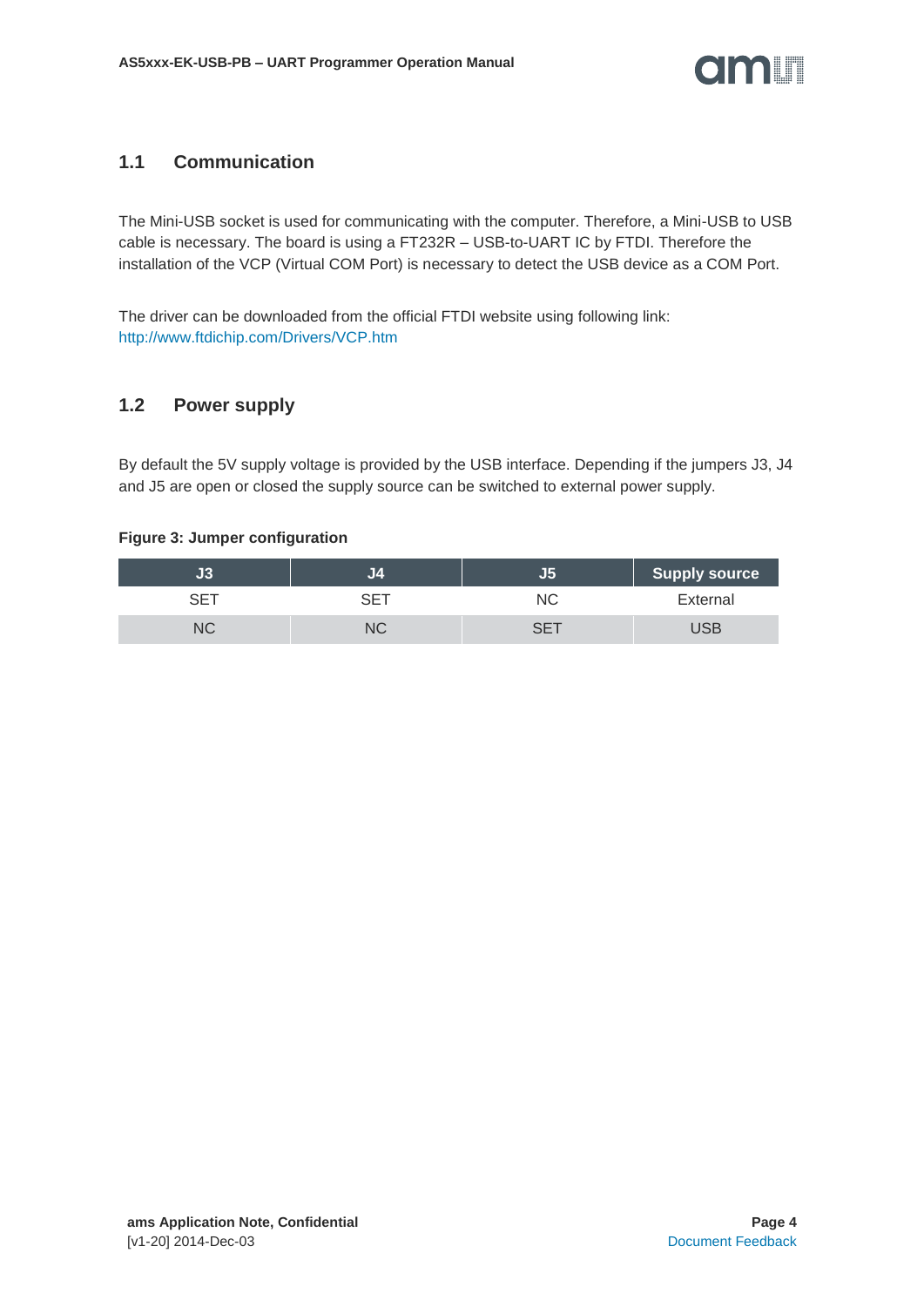#### <span id="page-3-0"></span>**1.1 Communication**

The Mini-USB socket is used for communicating with the computer. Therefore, a Mini-USB to USB cable is necessary. The board is using a FT232R – USB-to-UART IC by FTDI. Therefore the installation of the VCP (Virtual COM Port) is necessary to detect the USB device as a COM Port.

The driver can be downloaded from the official FTDI website using following link: <http://www.ftdichip.com/Drivers/VCP.htm>

## <span id="page-3-1"></span>**1.2 Power supply**

By default the 5V supply voltage is provided by the USB interface. Depending if the jumpers J3, J4 and J5 are open or closed the supply source can be switched to external power supply.

#### **Figure 3: Jumper configuration**

|    | П. | <b>Supply source</b> |
|----|----|----------------------|
|    | NС | External             |
| NC |    |                      |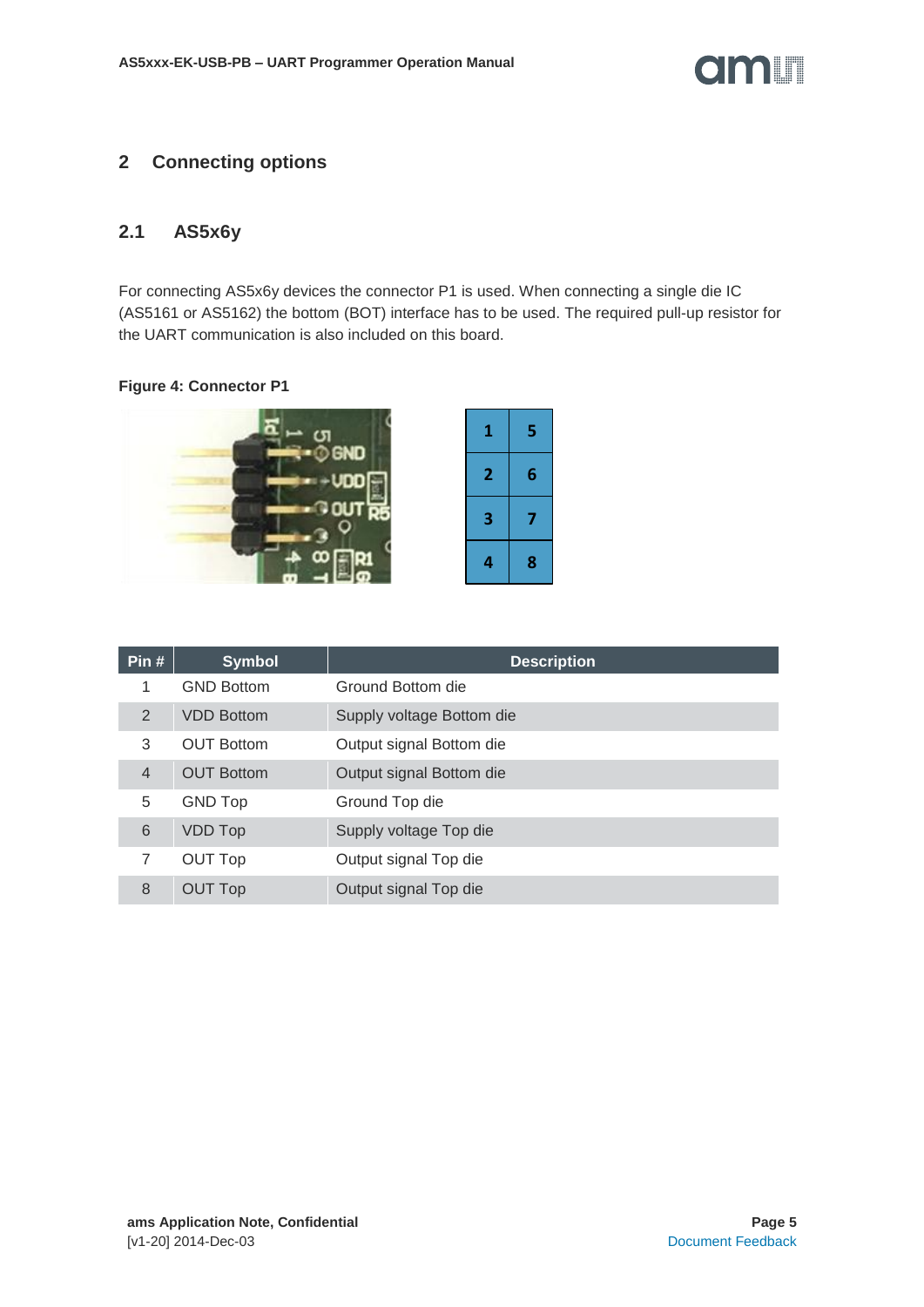

## <span id="page-4-0"></span>**2 Connecting options**

#### <span id="page-4-1"></span>**2.1 AS5x6y**

For connecting AS5x6y devices the connector P1 is used. When connecting a single die IC (AS5161 or AS5162) the bottom (BOT) interface has to be used. The required pull-up resistor for the UART communication is also included on this board.

#### **Figure 4: Connector P1**



| Pin $#$        | <b>Symbol</b>     | <b>Description</b>        |
|----------------|-------------------|---------------------------|
|                | <b>GND Bottom</b> | Ground Bottom die         |
| 2              | <b>VDD Bottom</b> | Supply voltage Bottom die |
| 3              | OUT Bottom        | Output signal Bottom die  |
| $\overline{4}$ | <b>OUT Bottom</b> | Output signal Bottom die  |
| 5              | <b>GND Top</b>    | Ground Top die            |
| 6              | <b>VDD Top</b>    | Supply voltage Top die    |
|                | <b>OUT Top</b>    | Output signal Top die     |
| 8              | <b>OUT Top</b>    | Output signal Top die     |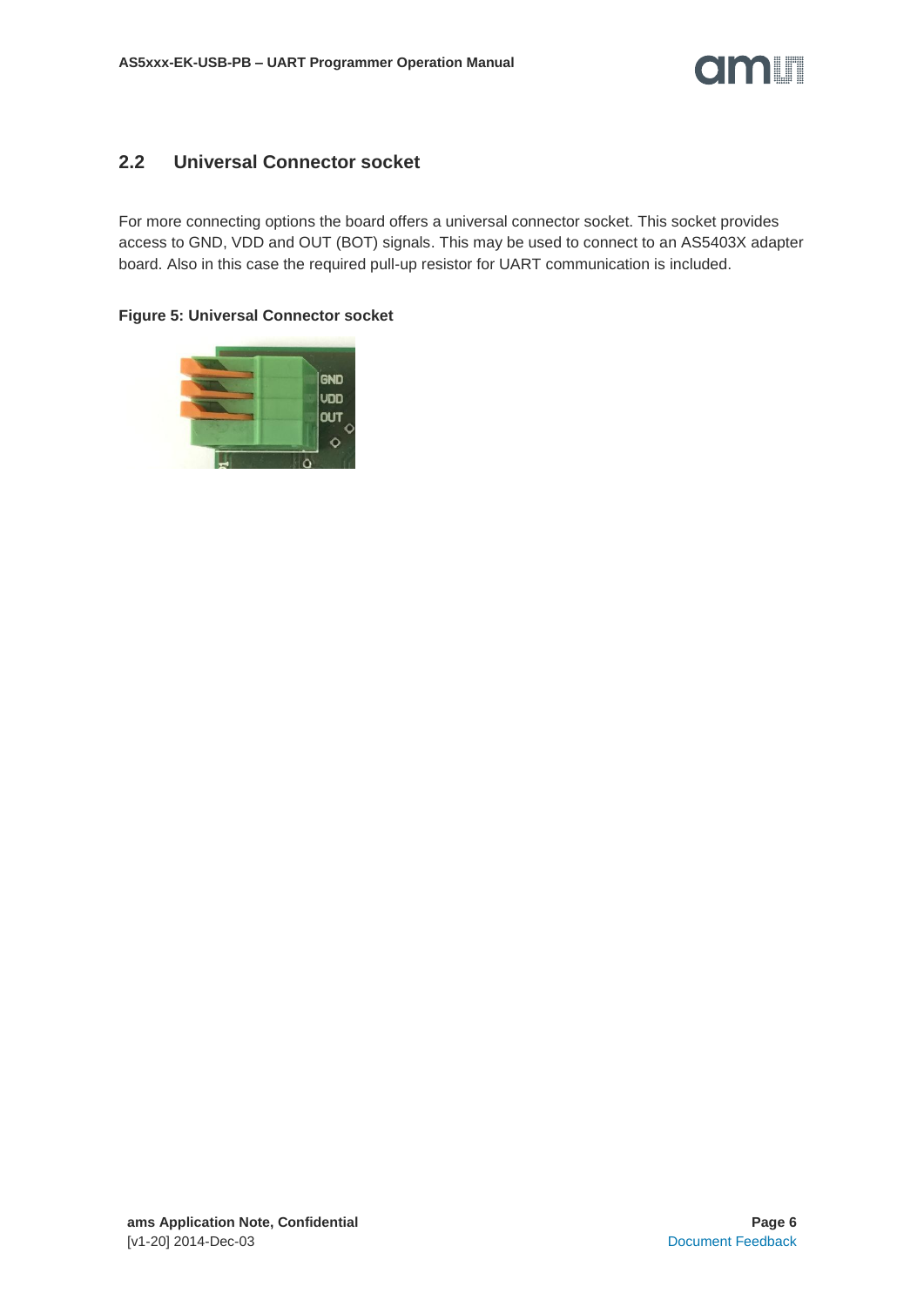

#### <span id="page-5-0"></span>**2.2 Universal Connector socket**

For more connecting options the board offers a universal connector socket. This socket provides access to GND, VDD and OUT (BOT) signals. This may be used to connect to an AS5403X adapter board. Also in this case the required pull-up resistor for UART communication is included.

#### **Figure 5: Universal Connector socket**

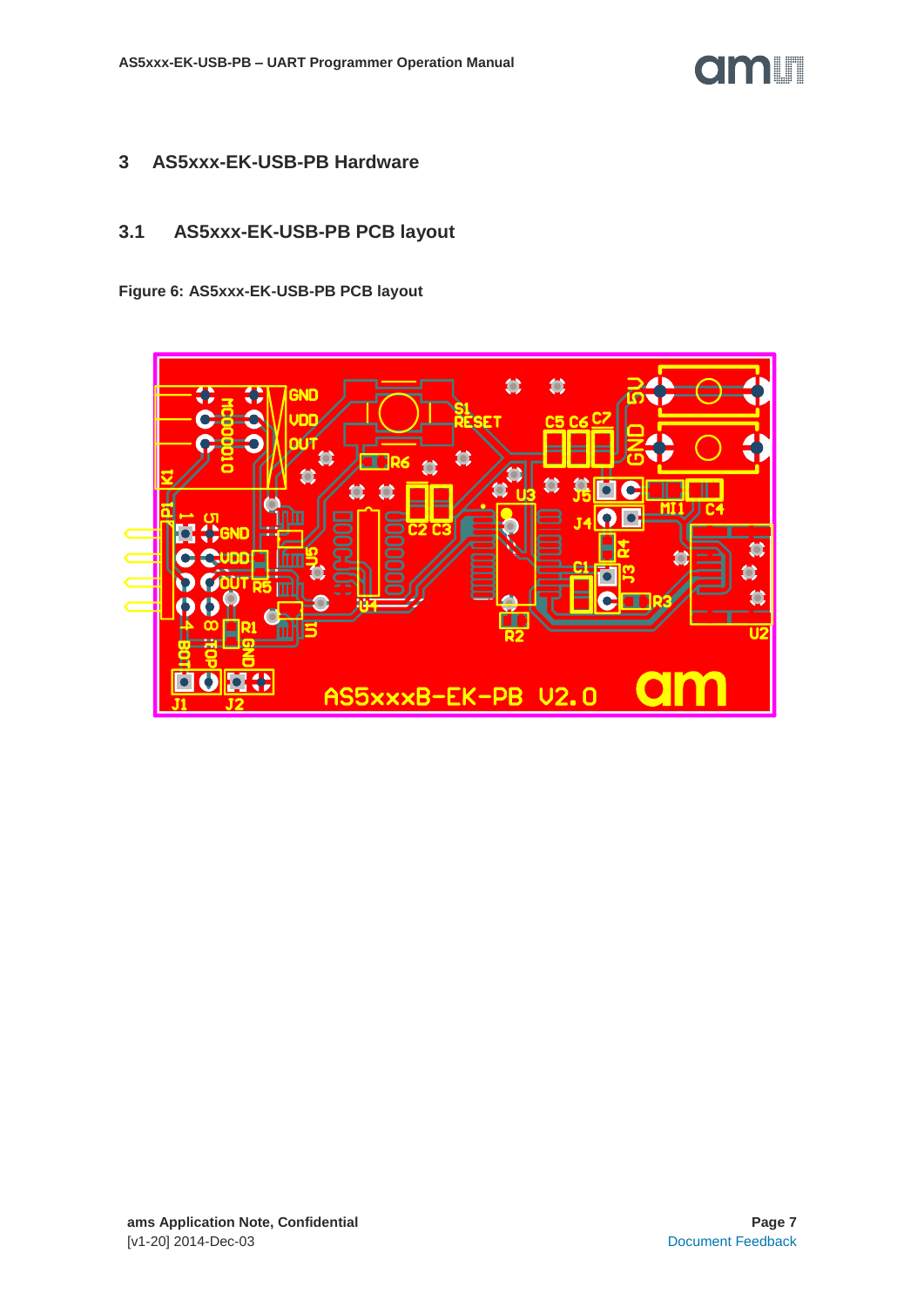

#### <span id="page-6-0"></span>**3 AS5xxx-EK-USB-PB Hardware**

# <span id="page-6-1"></span>**3.1 AS5xxx-EK-USB-PB PCB layout**

**Figure 6: AS5xxx-EK-USB-PB PCB layout**

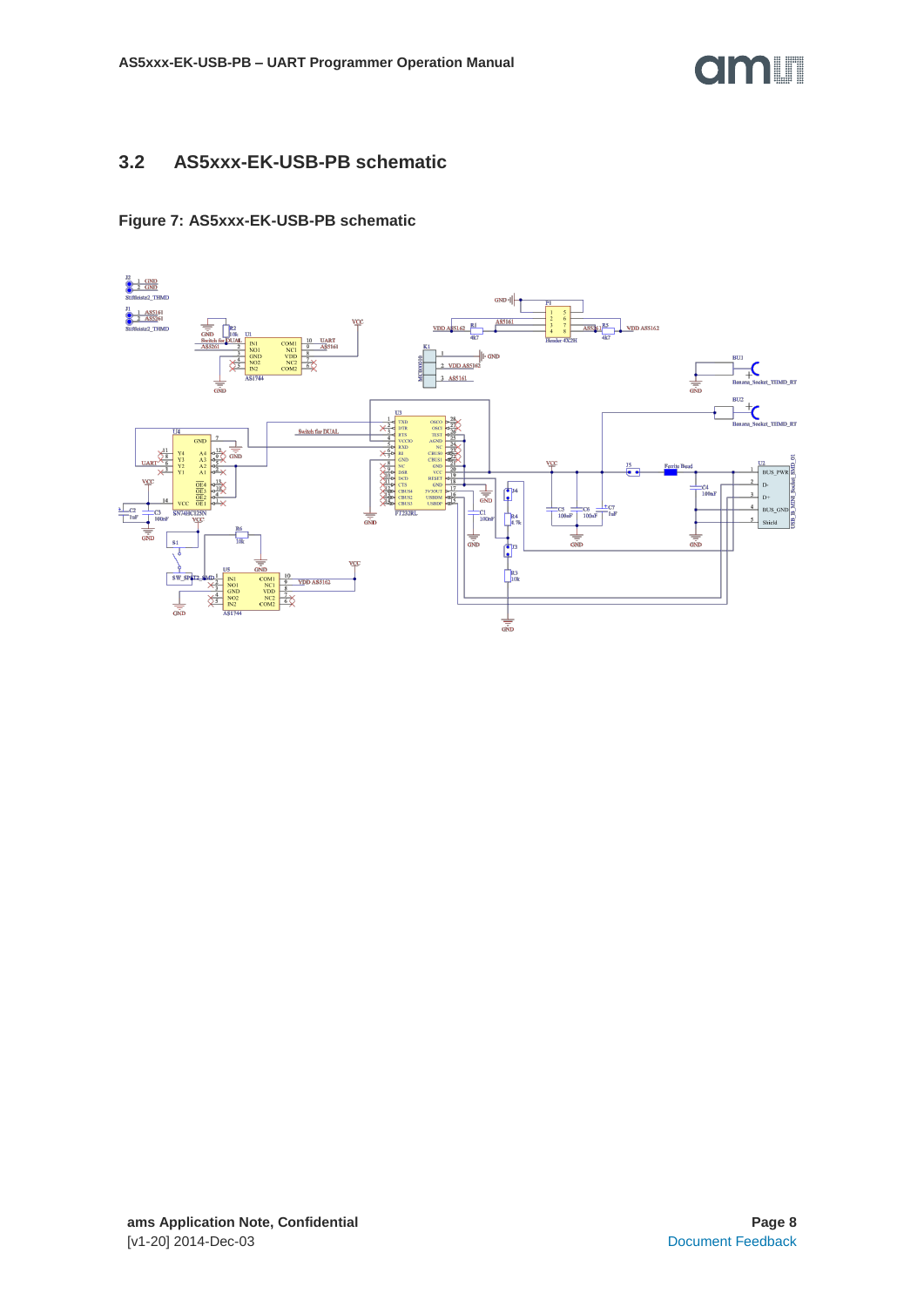

#### <span id="page-7-0"></span>**3.2 AS5xxx-EK-USB-PB schematic**

#### **Figure 7: AS5xxx-EK-USB-PB schematic**

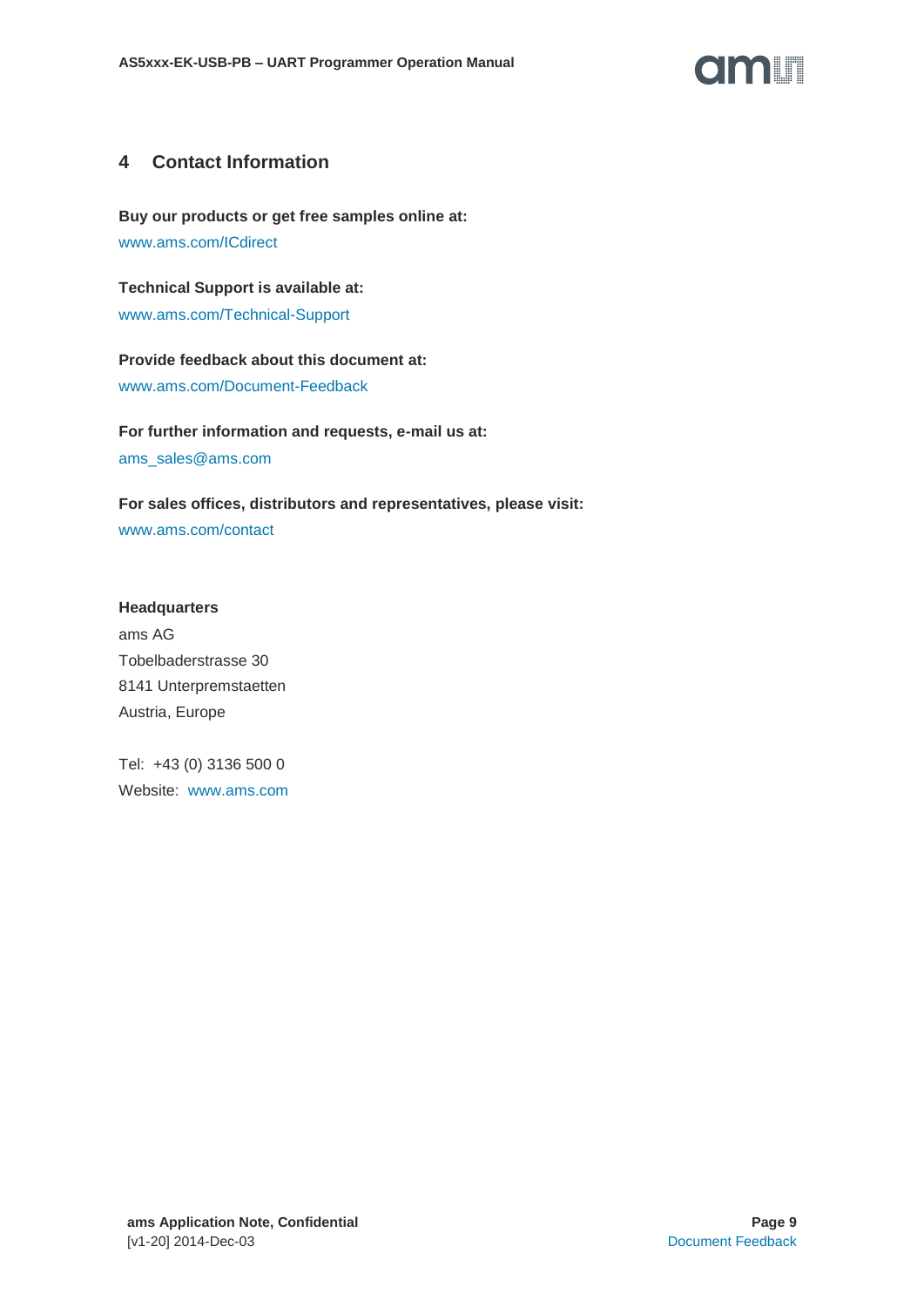

#### <span id="page-8-0"></span>**4 Contact Information**

**Buy our products or get free samples online at:** [www.ams.com/ICdirect](http://www.ams.com/ICdirect)

**Technical Support is available at:** [www.ams.com/Technical-Support](http://www.ams.com/Technical-Support)

**Provide feedback about this document at:** [www.ams.com/Document-Feedback](http://www.ams.com/Document-Feedback)

**For further information and requests, e-mail us at:** [ams\\_sales@ams.com](mailto:ams_sales@ams.com)

**For sales offices, distributors and representatives, please visit:**  [www.ams.com/contact](http://www.ams.com/contact)

#### **Headquarters**

ams AG Tobelbaderstrasse 30 8141 Unterpremstaetten Austria, Europe

Tel: +43 (0) 3136 500 0 Website: [www.ams.com](file:///C:/Users/esn/AppData/Local/Microsoft/Windows/Temporary%20Internet%20Files/Content.Outlook/6ZJONBX3/www.ams.com)